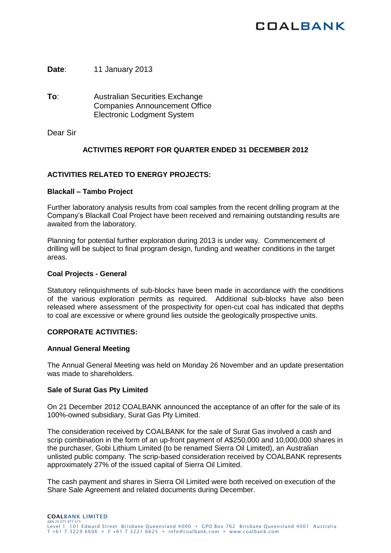# **COALBANK**

**Date**: 11 January 2013

**To**: Australian Securities Exchange Companies Announcement Office Electronic Lodgment System

Dear Sir

## **ACTIVITIES REPORT FOR QUARTER ENDED 31 DECEMBER 2012**

## **ACTIVITIES RELATED TO ENERGY PROJECTS:**

#### **Blackall – Tambo Project**

Further laboratory analysis results from coal samples from the recent drilling program at the Company's Blackall Coal Project have been received and remaining outstanding results are awaited from the laboratory.

Planning for potential further exploration during 2013 is under way. Commencement of drilling will be subject to final program design, funding and weather conditions in the target areas.

#### **Coal Projects - General**

Statutory relinquishments of sub-blocks have been made in accordance with the conditions of the various exploration permits as required. Additional sub-blocks have also been released where assessment of the prospectivity for open-cut coal has indicated that depths to coal are excessive or where ground lies outside the geologically prospective units.

## **CORPORATE ACTIVITIES:**

## **Annual General Meeting**

The Annual General Meeting was held on Monday 26 November and an update presentation was made to shareholders.

## **Sale of Surat Gas Pty Limited**

On 21 December 2012 COALBANK announced the acceptance of an offer for the sale of its 100%-owned subsidiary, Surat Gas Pty Limited.

The consideration received by COALBANK for the sale of Surat Gas involved a cash and scrip combination in the form of an up-front payment of A\$250,000 and 10,000,000 shares in the purchaser, Gobi Lithium Limited (to be renamed Sierra Oil Limited), an Australian unlisted public company. The scrip-based consideration received by COALBANK represents approximately 27% of the issued capital of Sierra Oil Limited.

The cash payment and shares in Sierra Oil Limited were both received on execution of the Share Sale Agreement and related documents during December.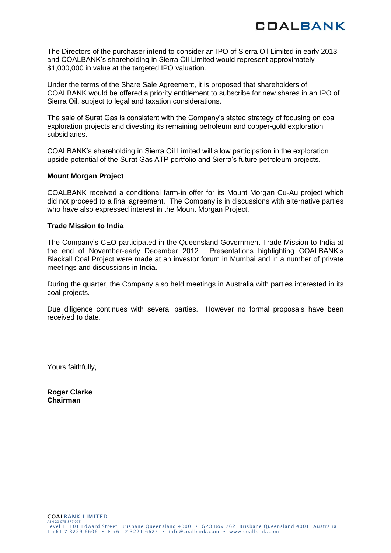The Directors of the purchaser intend to consider an IPO of Sierra Oil Limited in early 2013 and COALBANK's shareholding in Sierra Oil Limited would represent approximately \$1,000,000 in value at the targeted IPO valuation.

Under the terms of the Share Sale Agreement, it is proposed that shareholders of COALBANK would be offered a priority entitlement to subscribe for new shares in an IPO of Sierra Oil, subject to legal and taxation considerations.

The sale of Surat Gas is consistent with the Company's stated strategy of focusing on coal exploration projects and divesting its remaining petroleum and copper-gold exploration subsidiaries.

COALBANK's shareholding in Sierra Oil Limited will allow participation in the exploration upside potential of the Surat Gas ATP portfolio and Sierra's future petroleum projects.

## **Mount Morgan Project**

COALBANK received a conditional farm-in offer for its Mount Morgan Cu-Au project which did not proceed to a final agreement. The Company is in discussions with alternative parties who have also expressed interest in the Mount Morgan Project.

#### **Trade Mission to India**

The Company's CEO participated in the Queensland Government Trade Mission to India at the end of November-early December 2012. Presentations highlighting COALBANK's Blackall Coal Project were made at an investor forum in Mumbai and in a number of private meetings and discussions in India.

During the quarter, the Company also held meetings in Australia with parties interested in its coal projects.

Due diligence continues with several parties. However no formal proposals have been received to date.

Yours faithfully,

**Roger Clarke Chairman**